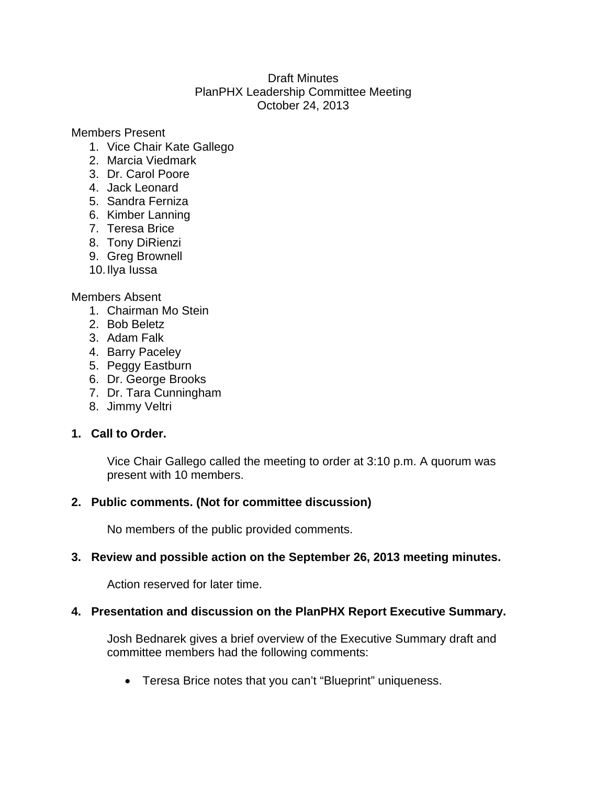#### Draft Minutes PlanPHX Leadership Committee Meeting October 24, 2013

Members Present

- 1. Vice Chair Kate Gallego
- 2. Marcia Viedmark
- 3. Dr. Carol Poore
- 4. Jack Leonard
- 5. Sandra Ferniza
- 6. Kimber Lanning
- 7. Teresa Brice
- 8. Tony DiRienzi
- 9. Greg Brownell
- 10. Ilya Iussa

#### Members Absent

- 1. Chairman Mo Stein
- 2. Bob Beletz
- 3. Adam Falk
- 4. Barry Paceley
- 5. Peggy Eastburn
- 6. Dr. George Brooks
- 7. Dr. Tara Cunningham
- 8. Jimmy Veltri

# **1. Call to Order.**

Vice Chair Gallego called the meeting to order at 3:10 p.m. A quorum was present with 10 members.

# **2. Public comments. (Not for committee discussion)**

No members of the public provided comments.

# **3. Review and possible action on the September 26, 2013 meeting minutes.**

Action reserved for later time.

# **4. Presentation and discussion on the PlanPHX Report Executive Summary.**

Josh Bednarek gives a brief overview of the Executive Summary draft and committee members had the following comments:

Teresa Brice notes that you can't "Blueprint" uniqueness.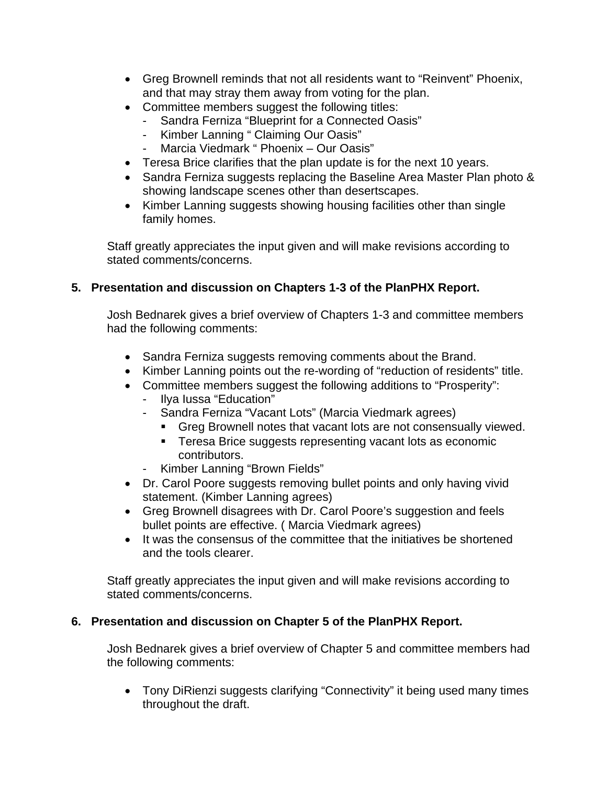- Greg Brownell reminds that not all residents want to "Reinvent" Phoenix, and that may stray them away from voting for the plan.
- Committee members suggest the following titles:
	- Sandra Ferniza "Blueprint for a Connected Oasis"
	- Kimber Lanning " Claiming Our Oasis"
	- Marcia Viedmark " Phoenix Our Oasis"
- Teresa Brice clarifies that the plan update is for the next 10 years.
- Sandra Ferniza suggests replacing the Baseline Area Master Plan photo & showing landscape scenes other than desertscapes.
- Kimber Lanning suggests showing housing facilities other than single family homes.

Staff greatly appreciates the input given and will make revisions according to stated comments/concerns.

#### **5. Presentation and discussion on Chapters 1-3 of the PlanPHX Report.**

Josh Bednarek gives a brief overview of Chapters 1-3 and committee members had the following comments:

- Sandra Ferniza suggests removing comments about the Brand.
- Kimber Lanning points out the re-wording of "reduction of residents" title.
- Committee members suggest the following additions to "Prosperity":
	- Ilya Iussa "Education"
	- Sandra Ferniza "Vacant Lots" (Marcia Viedmark agrees)
		- Greg Brownell notes that vacant lots are not consensually viewed.
		- **Teresa Brice suggests representing vacant lots as economic** contributors.
	- Kimber Lanning "Brown Fields"
- Dr. Carol Poore suggests removing bullet points and only having vivid statement. (Kimber Lanning agrees)
- Greg Brownell disagrees with Dr. Carol Poore's suggestion and feels bullet points are effective. ( Marcia Viedmark agrees)
- It was the consensus of the committee that the initiatives be shortened and the tools clearer.

Staff greatly appreciates the input given and will make revisions according to stated comments/concerns.

#### **6. Presentation and discussion on Chapter 5 of the PlanPHX Report.**

Josh Bednarek gives a brief overview of Chapter 5 and committee members had the following comments:

• Tony DiRienzi suggests clarifying "Connectivity" it being used many times throughout the draft.